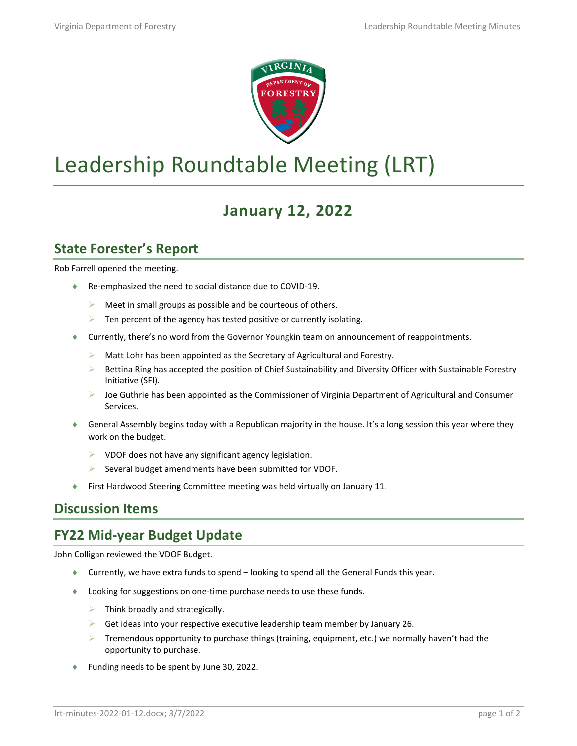

# Leadership Roundtable Meeting (LRT)

## **January 12, 2022**

#### **State Forester's Report**

Rob Farrell opened the meeting.

- ♦ Re-emphasized the need to social distance due to COVID-19.
	- $\triangleright$  Meet in small groups as possible and be courteous of others.
	- $\triangleright$  Ten percent of the agency has tested positive or currently isolating.
- Currently, there's no word from the Governor Youngkin team on announcement of reappointments.
	- $\triangleright$  Matt Lohr has been appointed as the Secretary of Agricultural and Forestry.
	- $\triangleright$  Bettina Ring has accepted the position of Chief Sustainability and Diversity Officer with Sustainable Forestry Initiative (SFI).
	- Joe Guthrie has been appointed as the Commissioner of Virginia Department of Agricultural and Consumer Services.
- ♦ General Assembly begins today with a Republican majority in the house. It's a long session this year where they work on the budget.
	- $\triangleright$  VDOF does not have any significant agency legislation.
	- Several budget amendments have been submitted for VDOF.
- First Hardwood Steering Committee meeting was held virtually on January 11.

#### **Discussion Items**

#### **FY22 Mid-year Budget Update**

John Colligan reviewed the VDOF Budget.

- ♦ Currently, we have extra funds to spend looking to spend all the General Funds this year.
- ♦ Looking for suggestions on one-time purchase needs to use these funds.
	- $\triangleright$  Think broadly and strategically.
	- $\triangleright$  Get ideas into your respective executive leadership team member by January 26.
	- Tremendous opportunity to purchase things (training, equipment, etc.) we normally haven't had the opportunity to purchase.
- Funding needs to be spent by June 30, 2022.